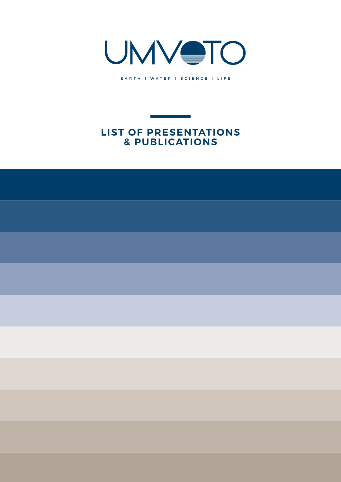

EARTH | WATER | SCIENCE | LIFE

## **LIST OF PRESENTATIONS & PUBLICATIONS**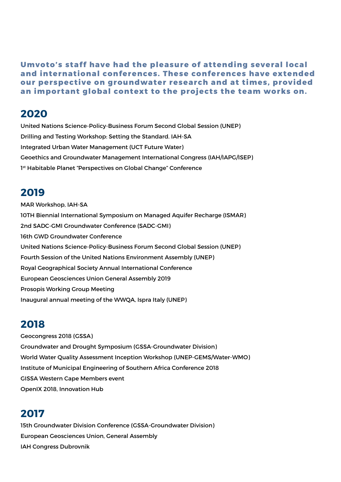**Umvoto's staff have had the pleasure of attending several local and international conferences. These conferences have extended our perspective on groundwater research and at times, provided an important global context to the projects the team works on.**

### **2020**

United Nations Science-Policy-Business Forum Second Global Session (UNEP) Drilling and Testing Workshop: Setting the Standard. IAH-SA Integrated Urban Water Management (UCT Future Water) Geoethics and Groundwater Management International Congress (IAH/IAPG/ISEP) 1<sup>st</sup> Habitable Planet "Perspectives on Global Change" Conference

## **2019**

MAR Workshop, IAH-SA 10TH Biennial International Symposium on Managed Aquifer Recharge (ISMAR) 2nd SADC-GMI Groundwater Conference (SADC-GMI) 16th GWD Groundwater Conference United Nations Science-Policy-Business Forum Second Global Session (UNEP) Fourth Session of the United Nations Environment Assembly (UNEP) Royal Geographical Society Annual International Conference European Geosciences Union General Assembly 2019 Prosopis Working Group Meeting Inaugural annual meeting of the WWQA, Ispra Italy (UNEP)

# **2018**

Geocongress 2018 (GSSA) Groundwater and Drought Symposium (GSSA-Groundwater Division) World Water Quality Assessment Inception Workshop (UNEP-GEMS/Water-WMO) Institute of Municipal Engineering of Southern Africa Conference 2018 GISSA Western Cape Members event OpenIX 2018, Innovation Hub

# **2017**

15th Groundwater Division Conference (GSSA-Groundwater Division) European Geosciences Union, General Assembly IAH Congress Dubrovnik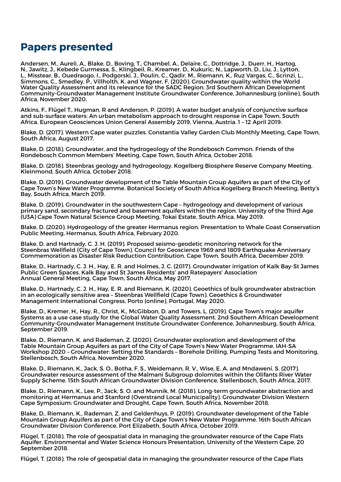## **Papers presented**

Andersen, M., Aureli, A., Blake, D., Boving, T., Chambel, A., Delaire, C., Dottridge, J., Duerr, H., Hartog, N., Jawitz, J., Kebede Gurmessa, S., Klingbeil, R., Kreamer, D., Kukuric, N., Lapworth, D., Liu, J., Lytton, L., Misstear, B., Ouedraogo, I., Podgorski, J., Poulin, C., Qadir, M., Riemann, K., Ruz Vargas, C., Scrinzi, L., Simmons, C., Smedley, P., Villholth, K. and Wagner, F. (2020). Groundwater quality within the World Water Quality Assessment and its relevance for the SADC Region. 3rd Southern African Development Community-Groundwater Management Institute Groundwater Conference, Johannesburg (online), South Africa, November 2020.

Atkins, F., Flügel T., Hugman, R and Anderson, P. (2019). A water budget analysis of conjunctive surface and sub-surface waters: An urban metabolism approach to drought response in Cape Town, South Africa. European Geosciences Union General Assembly 2019, Vienna, Austria. 1 – 12 April 2019.

Blake, D. (2017). Western Cape water puzzles. Constantia Valley Garden Club Monthly Meeting, Cape Town, South Africa, August 2017.

Blake, D. (2018). Groundwater, and the hydrogeology of the Rondebosch Common. Friends of the Rondebosch Common Members' Meeting, Cape Town, South Africa, October 2018.

Blake, D. (2018). Steenbras geology and hydrogeology. Kogelberg Biosphere Reserve Company Meeting, Kleinmond, South Africa, October 2018.

Blake, D. (2019). Groundwater development of the Table Mountain Group Aquifers as part of the City of Cape Town's New Water Programme. Botanical Society of South Africa Kogelberg Branch Meeting, Betty's Bay, South Africa, March 2019.

Blake, D. (2019). Groundwater in the southwestern Cape – hydrogeology and development of various primary sand, secondary fractured and basement aquifers within the region. University of the Third Age (U3A) Cape Town Natural Science Group Meeting, Tokai Estate, South Africa, May 2019.

Blake, D. (2020). Hydrogeology of the greater Hermanus region. Presentation to Whale Coast Conservation Public Meeting, Hermanus, South Africa, February 2020.

Blake, D. and Hartnady, C. J. H. (2019). Proposed seismo-geodetic monitoring network for the Steenbras Wellfield (City of Cape Town). Council for Geoscience 1969 and 1809 Earthquake Anniversary Commemoration as Disaster Risk Reduction Contribution, Cape Town, South Africa, December 2019.

Blake, D., Hartnady, C. J. H., Hay, E. R. and Holmes, J. C. (2017). Groundwater irrigation of Kalk Bay-St James Public Green Spaces. Kalk Bay and St James Residents' and Ratepayers' Association Annual General Meeting, Cape Town, South Africa, May 2017.

Blake, D., Hartnady, C. J. H., Hay, E. R. and Riemann, K. (2020). Geoethics of bulk groundwater abstraction in an ecologically sensitive area – Steenbras Wellfield (Cape Town). Geoethics & Groundwater Management International Congress, Porto (online), Portugal, May 2020.

Blake, D., Kremer, H., Hay, R., Christ, K., McGibbon, D. and Towers, L. (2019). Cape Town's major aquifer Systems as a use case study for the Global Water Quality Assessment. 2nd Southern African Development Community-Groundwater Management Institute Groundwater Conference, Johannesburg, South Africa, September 2019.

Blake, D., Riemann, K. and Rademan, Z. (2020). Groundwater exploration and development of the Table Mountain Group Aquifers as part of the City of Cape Town's New Water Programme. IAH-SA Workshop 2020 – Groundwater: Setting the Standards – Borehole Drilling, Pumping Tests and Monitoring, Stellenbosch, South Africa, November 2020.

Blake, D., Riemann, K., Jack, S. O., Botha, F. S., Weidemann, R. V., Wise, E. A. and Mndaweni, S. (2017). Groundwater resource assessment of the Malmani Subgroup dolomites within the Olifants River Water Supply Scheme. 15th South African Groundwater Division Conference, Stellenbosch, South Africa, 2017.

Blake, D., Riemann, K., Lee, P., Jack, S. O. and Munnik, M. (2018). Long-term groundwater abstraction and monitoring at Hermanus and Stanford (Overstrand Local Municipality). Groundwater Division Western Cape Symposium: Groundwater and Drought, Cape Town, South Africa, November 2018.

Blake, D., Riemann, K., Rademan, Z. and Geldenhuys, P. (2019). Groundwater development of the Table Mountain Group Aquifers as part of the City of Cape Town's New Water Programme. 16th South African Groundwater Division Conference, Port Elizabeth, South Africa, October 2019.

Flügel, T. (2018). The role of geospatial data in managing the groundwater resource of the Cape Flats Aquifer. Environmental and Water Science Honours Presentation, University of the Western Cape, 20 September 2018.

Flügel, T. (2018). The role of geospatial data in managing the groundwater resource of the Cape Flats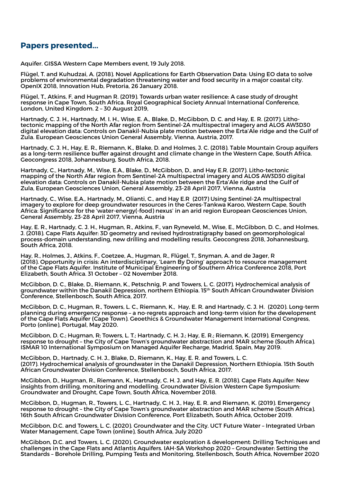#### **Papers presented...**

Aquifer. GISSA Western Cape Members event, 19 July 2018.

Flügel, T. and Kuhudzai, A. (2018). Novel Applications for Earth Observation Data: Using EO data to solve problems of environmental degradation threatening water and food security in a major coastal city. OpenIX 2018, Innovation Hub, Pretoria, 26 January 2018.

Flügel, T., Atkins, F. and Hugman R. (2019). Towards urban water resilience: A case study of drought response in Cape Town, South Africa. Royal Geographical Society Annual International Conference, London, United Kingdom. 2 – 30 August 2019,

Hartnady, C. J. H., Hartnady, M. I. H., Wise, E. A., Blake, D., McGibbon, D. C. and Hay, E. R. (2017). Lithotectonic mapping of the North Afar region from Sentinel-2A multispectral imagery and ALOS AW3D30 digital elevation data: Controls on Danakil-Nubia plate motion between the Erta'Ale ridge and the Gulf of Zula. European Geosciences Union General Assembly, Vienna, Austria, 2017.

Hartnady, C. J. H., Hay, E. R., Riemann, K., Blake, D. and Holmes, J. C. (2018). Table Mountain Group aquifers as a long-term resilience buffer against drought and climate change in the Western Cape, South Africa. Geocongress 2018, Johannesburg, South Africa, 2018.

Hartnady, C., Hartnady, M., Wise, E.A., Blake, D., McGibbon, D., and Hay E.R. (2017). Litho-tectonic mapping of the North Afar region from Sentinel-2A multispectral imagery and ALOS AW3D30 digital elevation data: Controls on Danakil-Nubia plate motion between the Erta'Ale ridge and the Gulf of Zula, European Geosciences Union, General Assembly, 23-28 April 2017, Vienna, Austria

Hartnady, C., Wise, E.A., Hartnady, M., Olianti, C., and Hay E.R (2017) Using Sentinel-2A multispectral imagery to explore for deep groundwater resources in the Ceres-Tankwa Karoo, Western Cape, South Africa: Significance for the 'water-energy(-food) nexus' in an arid region European Geosciences Union, General Assembly, 23-28 April 2017, Vienna, Austria

Hay, E. R., Hartnady, C. J. H., Hugman, R., Atkins, F., van Ryneveld, M., Wise, E., McGibbon, D. C., and Holmes, J. (2018). Cape Flats Aquifer: 3D geometry and revised hydrostratigraphy based on geomorphological process-domain understanding, new drilling and modelling results. Geocongress 2018, Johannesburg, South Africa, 2018.

Hay, R., Holmes, J., Atkins, F., Coetzee, A., Hugman, R., Flügel, T., Snyman, A. and de Jager, R (2018). Opportunity in crisis: An interdisciplinary, 'Learn By Doing' approach to resource management of the Cape Flats Aquifer. Institute of Municipal Engineering of Southern Africa Conference 2018, Port Elizabeth, South Africa. 31 October – 02 November 2018.

McGibbon, D. C., Blake, D., Riemann, K., Petschnig, P. and Towers, L. C. (2017). Hydrochemical analysis of groundwater within the Danakil Depression, northern Ethiopia. 15th South African Groundwater Division Conference, Stellenbosch, South Africa, 2017.

McGibbon, D. C., Hugman, R., Towers, L. C., Riemann, K., Hay, E. R. and Hartnady, C. J. H. (2020). Long-term planning during emergency response – a no-regrets approach and long-term vision for the development of the Cape Flats Aquifer (Cape Town). Geoethics & Groundwater Management International Congress, Porto (online), Portugal, May 2020.

McGibbon, D. C.; Hugman, R; Towers, L. T.; Hartnady, C. H. J.; Hay, E. R.; Riemann, K. (2019). Emergency response to drought – the City of Cape Town's groundwater abstraction and MAR scheme (South Africa). ISMAR 10 International Symposium on Managed Aquifer Recharge, Madrid, Spain, May 2019.

McGibbon, D., Hartnady, C. H. J., Blake, D., Riemann, K., Hay, E. R. and Towers, L. C. (2017). Hydrochemical analysis of groundwater in the Danakil Depression, Northern Ethiopia. 15th South African Groundwater Division Conference, Stellenbosch, South Africa, 2017.

McGibbon, D., Hugman, R., Riemann, K., Hartnady, C. H. J. and Hay, E. R. (2018). Cape Flats Aquifer: New insights from drilling, monitoring and modelling. Groundwater Division Western Cape Symposium: Groundwater and Drought, Cape Town, South Africa, November 2018.

McGibbon, D., Hugman, R., Towers, L. C., Hartnady, C. H. J., Hay, E. R. and Riemann, K. (2019). Emergency response to drought – the City of Cape Town's groundwater abstraction and MAR scheme (South Africa). 16th South African Groundwater Division Conference, Port Elizabeth, South Africa, October 2019.

McGibbon, D.C. and Towers, L. C. (2020). Groundwater and the City. UCT Future Water – Integrated Urban Water Management, Cape Town (online), South Africa, July 2020

McGibbon, D.C. and Towers, L. C. (2020). Groundwater exploration & development: Drilling Techniques and challenges in the Cape Flats and Atlantis Aquifers. IAH-SA Workshop 2020 – Groundwater: Setting the Standards – Borehole Drilling, Pumping Tests and Monitoring, Stellenbosch, South Africa, November 2020